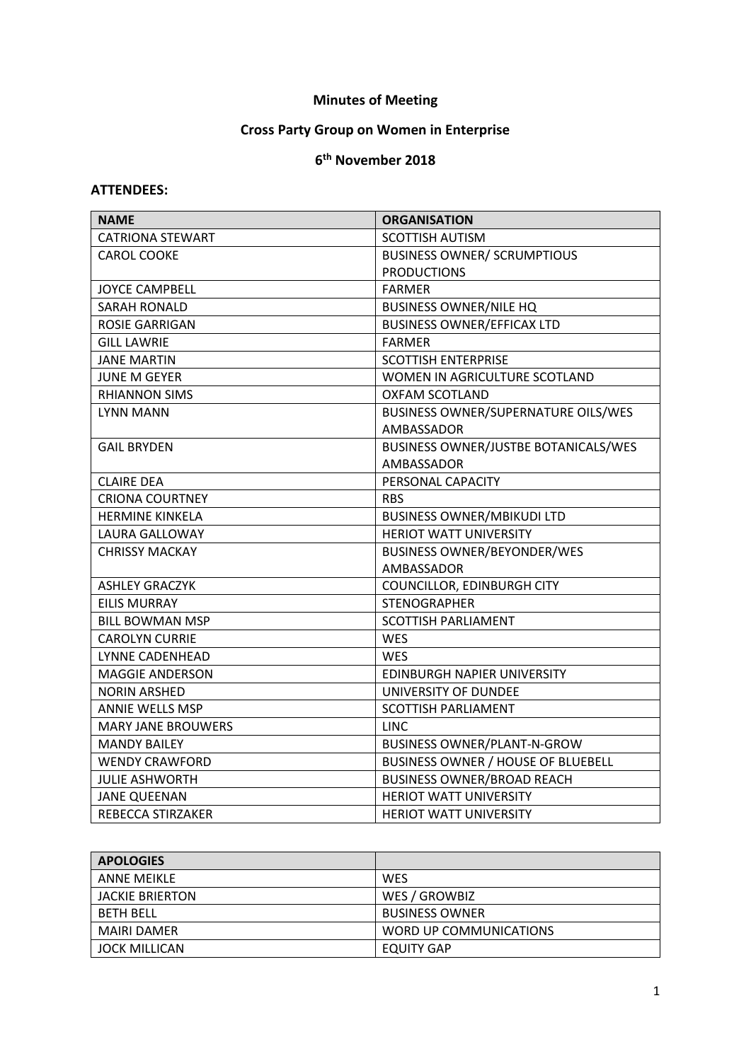## **Minutes of Meeting**

## **Cross Party Group on Women in Enterprise**

## **6 th November 2018**

## **ATTENDEES:**

| <b>NAME</b>               | <b>ORGANISATION</b>                  |
|---------------------------|--------------------------------------|
| <b>CATRIONA STEWART</b>   | <b>SCOTTISH AUTISM</b>               |
| <b>CAROL COOKE</b>        | <b>BUSINESS OWNER/ SCRUMPTIOUS</b>   |
|                           | <b>PRODUCTIONS</b>                   |
| <b>JOYCE CAMPBELL</b>     | <b>FARMER</b>                        |
| <b>SARAH RONALD</b>       | <b>BUSINESS OWNER/NILE HQ</b>        |
| <b>ROSIE GARRIGAN</b>     | <b>BUSINESS OWNER/EFFICAX LTD</b>    |
| <b>GILL LAWRIE</b>        | <b>FARMER</b>                        |
| JANE MARTIN               | <b>SCOTTISH ENTERPRISE</b>           |
| <b>JUNE M GEYER</b>       | WOMEN IN AGRICULTURE SCOTLAND        |
| <b>RHIANNON SIMS</b>      | <b>OXFAM SCOTLAND</b>                |
| <b>LYNN MANN</b>          | BUSINESS OWNER/SUPERNATURE OILS/WES  |
|                           | AMBASSADOR                           |
| <b>GAIL BRYDEN</b>        | BUSINESS OWNER/JUSTBE BOTANICALS/WES |
|                           | AMBASSADOR                           |
| <b>CLAIRE DEA</b>         | PERSONAL CAPACITY                    |
| <b>CRIONA COURTNEY</b>    | <b>RBS</b>                           |
| <b>HERMINE KINKELA</b>    | <b>BUSINESS OWNER/MBIKUDI LTD</b>    |
| <b>LAURA GALLOWAY</b>     | <b>HERIOT WATT UNIVERSITY</b>        |
| <b>CHRISSY MACKAY</b>     | <b>BUSINESS OWNER/BEYONDER/WES</b>   |
|                           | AMBASSADOR                           |
| <b>ASHLEY GRACZYK</b>     | COUNCILLOR, EDINBURGH CITY           |
| <b>EILIS MURRAY</b>       | <b>STENOGRAPHER</b>                  |
| BILL BOWMAN MSP           | <b>SCOTTISH PARLIAMENT</b>           |
| <b>CAROLYN CURRIE</b>     | <b>WES</b>                           |
| LYNNE CADENHEAD           | <b>WES</b>                           |
| <b>MAGGIE ANDERSON</b>    | EDINBURGH NAPIER UNIVERSITY          |
| <b>NORIN ARSHED</b>       | UNIVERSITY OF DUNDEE                 |
| <b>ANNIE WELLS MSP</b>    | <b>SCOTTISH PARLIAMENT</b>           |
| <b>MARY JANE BROUWERS</b> | <b>LINC</b>                          |
| <b>MANDY BAILEY</b>       | <b>BUSINESS OWNER/PLANT-N-GROW</b>   |
| <b>WENDY CRAWFORD</b>     | BUSINESS OWNER / HOUSE OF BLUEBELL   |
| <b>JULIE ASHWORTH</b>     | <b>BUSINESS OWNER/BROAD REACH</b>    |
| <b>JANE QUEENAN</b>       | <b>HERIOT WATT UNIVERSITY</b>        |
| REBECCA STIRZAKER         | <b>HERIOT WATT UNIVERSITY</b>        |

| <b>APOLOGIES</b>       |                        |
|------------------------|------------------------|
| <b>ANNE MEIKLE</b>     | <b>WES</b>             |
| <b>JACKIE BRIERTON</b> | WES / GROWBIZ          |
| <b>BETH BELL</b>       | <b>BUSINESS OWNER</b>  |
| MAIRI DAMER            | WORD UP COMMUNICATIONS |
| <b>JOCK MILLICAN</b>   | EQUITY GAP             |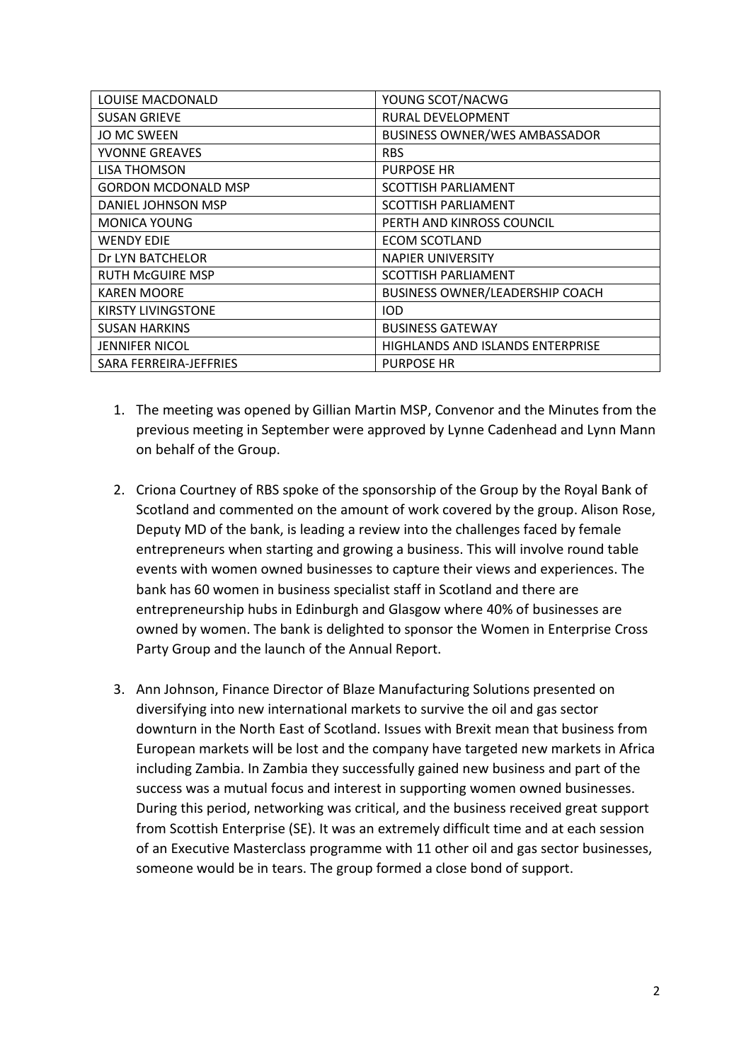| LOUISE MACDONALD       | YOUNG SCOT/NACWG                        |
|------------------------|-----------------------------------------|
| <b>SUSAN GRIEVE</b>    | RURAL DEVELOPMENT                       |
| <b>JO MC SWEEN</b>     | <b>BUSINESS OWNER/WES AMBASSADOR</b>    |
| <b>YVONNE GREAVES</b>  | <b>RBS</b>                              |
| LISA THOMSON           | <b>PURPOSE HR</b>                       |
| GORDON MCDONALD MSP    | <b>SCOTTISH PARLIAMENT</b>              |
| DANIEL JOHNSON MSP     | <b>SCOTTISH PARLIAMENT</b>              |
| <b>MONICA YOUNG</b>    | PERTH AND KINROSS COUNCIL               |
| <b>WENDY EDIE</b>      | <b>ECOM SCOTLAND</b>                    |
| Dr LYN BATCHELOR       | <b>NAPIER UNIVERSITY</b>                |
| RUTH McGUIRE MSP       | <b>SCOTTISH PARLIAMENT</b>              |
| <b>KAREN MOORE</b>     | <b>BUSINESS OWNER/LEADERSHIP COACH</b>  |
| KIRSTY LIVINGSTONE     | <b>IOD</b>                              |
| <b>SUSAN HARKINS</b>   | <b>BUSINESS GATEWAY</b>                 |
| <b>JENNIFER NICOL</b>  | <b>HIGHLANDS AND ISLANDS ENTERPRISE</b> |
| SARA FERREIRA-JEFFRIES | <b>PURPOSE HR</b>                       |

- 1. The meeting was opened by Gillian Martin MSP, Convenor and the Minutes from the previous meeting in September were approved by Lynne Cadenhead and Lynn Mann on behalf of the Group.
- 2. Criona Courtney of RBS spoke of the sponsorship of the Group by the Royal Bank of Scotland and commented on the amount of work covered by the group. Alison Rose, Deputy MD of the bank, is leading a review into the challenges faced by female entrepreneurs when starting and growing a business. This will involve round table events with women owned businesses to capture their views and experiences. The bank has 60 women in business specialist staff in Scotland and there are entrepreneurship hubs in Edinburgh and Glasgow where 40% of businesses are owned by women. The bank is delighted to sponsor the Women in Enterprise Cross Party Group and the launch of the Annual Report.
- 3. Ann Johnson, Finance Director of Blaze Manufacturing Solutions presented on diversifying into new international markets to survive the oil and gas sector downturn in the North East of Scotland. Issues with Brexit mean that business from European markets will be lost and the company have targeted new markets in Africa including Zambia. In Zambia they successfully gained new business and part of the success was a mutual focus and interest in supporting women owned businesses. During this period, networking was critical, and the business received great support from Scottish Enterprise (SE). It was an extremely difficult time and at each session of an Executive Masterclass programme with 11 other oil and gas sector businesses, someone would be in tears. The group formed a close bond of support.